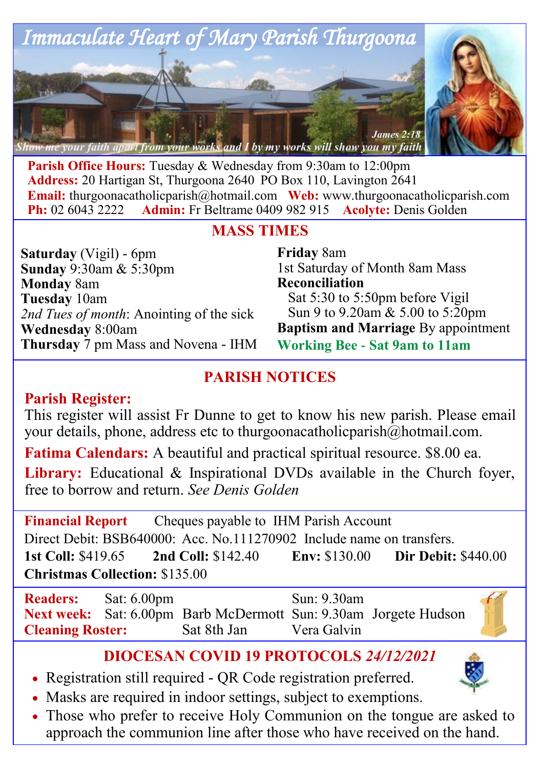

**Parish Office Hours:** Tuesday & Wednesday from 9:30am to 12:00pm **Address:** 20 Hartigan St, Thurgoona 2640 PO Box 110, Lavington 2641 **Email:** thurgoonacatholicparish@hotmail.com Web: www.thurgoonacatholicparish.com<br>**Ph:** 02.6043.2222 **Admin:** Fr Beltrame 0409.982.915 **Acolyte:** Denis Golden **Admin:** Fr Beltrame 0409 982 915 **Acolyte:** Denis Golden

### **MASS TIMES**

**Saturday** (Vigil) - 6pm **Sunday** 9:30am & 5:30pm **Monday** 8am **Tuesday** 10am *2nd Tues of month*: Anointing of the sick **Wednesday** 8:00am **Thursday** 7 pm Mass and Novena - IHM **Friday** 8am 1st Saturday of Month 8am Mass **Reconciliation**  Sat 5:30 to 5:50pm before Vigil Sun 9 to 9.20am & 5.00 to 5:20pm **Baptism and Marriage** By appointment **Working Bee - Sat 9am to 11am**

# **PARISH NOTICES**

### **Parish Register:**

This register will assist Fr Dunne to get to know his new parish. Please email your details, phone, address etc to thurgoonacatholicparish@hotmail.com.

**Fatima Calendars:** A beautiful and practical spiritual resource. \$8.00 ea.

**Library:** Educational & Inspirational DVDs available in the Church foyer, free to borrow and return. *See Denis Golden* 

**Financial Report** Cheques payable to IHM Parish Account Direct Debit: BSB640000: Acc. No.111270902 Include name on transfers. **1st Coll:** \$419.65 **2nd Coll:** \$142.40 **Env:** \$130.00 **Dir Debit:** \$440.00 **Christmas Collection:** \$135.00

**Readers:** Sat: 6.00pm Sun: 9.30am **Next week:** Sat: 6.00pm Barb McDermott Sun: 9.30am Jorgete Hudson<br>Cleaning Roster: Sat 8th Jan Vera Galvin **Cleaning Roster:** Sat 8th Jan Vera Galvin

### **DIOCESAN COVID 19 PROTOCOLS** *24/12/2021*

- Registration still required QR Code registration preferred.
- Masks are required in indoor settings, subject to exemptions.
- Those who prefer to receive Holy Communion on the tongue are asked to approach the communion line after those who have received on the hand.

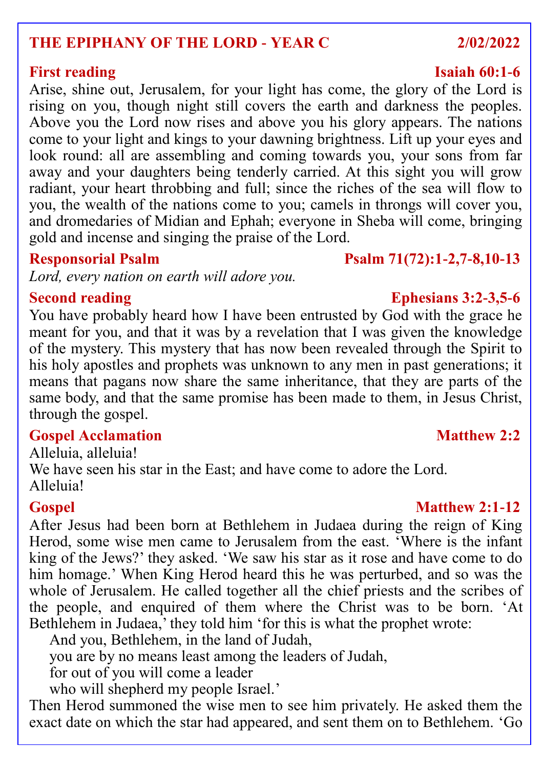# **THE EPIPHANY OF THE LORD - YEAR C 2/02/2022**

Arise, shine out, Jerusalem, for your light has come, the glory of the Lord is rising on you, though night still covers the earth and darkness the peoples. Above you the Lord now rises and above you his glory appears. The nations come to your light and kings to your dawning brightness. Lift up your eyes and look round: all are assembling and coming towards you, your sons from far away and your daughters being tenderly carried. At this sight you will grow radiant, your heart throbbing and full; since the riches of the sea will flow to you, the wealth of the nations come to you; camels in throngs will cover you, and dromedaries of Midian and Ephah; everyone in Sheba will come, bringing gold and incense and singing the praise of the Lord.

*Lord, every nation on earth will adore you.*

You have probably heard how I have been entrusted by God with the grace he meant for you, and that it was by a revelation that I was given the knowledge of the mystery. This mystery that has now been revealed through the Spirit to his holy apostles and prophets was unknown to any men in past generations; it means that pagans now share the same inheritance, that they are parts of the same body, and that the same promise has been made to them, in Jesus Christ, through the gospel.

# **Gospel Acclamation Matthew 2:2**

Alleluia, alleluia! We have seen his star in the East; and have come to adore the Lord. Alleluia!

### **Gospel Matthew 2:1-12**

After Jesus had been born at Bethlehem in Judaea during the reign of King Herod, some wise men came to Jerusalem from the east. Where is the infant king of the Jews?' they asked. 'We saw his star as it rose and have come to do him homage.' When King Herod heard this he was perturbed, and so was the whole of Jerusalem. He called together all the chief priests and the scribes of the people, and enquired of them where the Christ was to be born. 'At Bethlehem in Judaea,' they told him 'for this is what the prophet wrote:

And you, Bethlehem, in the land of Judah,

you are by no means least among the leaders of Judah,

for out of you will come a leader

who will shepherd my people Israel.'

Then Herod summoned the wise men to see him privately. He asked them the exact date on which the star had appeared, and sent them on to Bethlehem. 'Go

### **Responsorial Psalm Psalm 71(72):1-2,7-8,10-13**

# **Second reading Ephesians 3:2-3,5-6**

## **First reading Isaiah 60:1-6**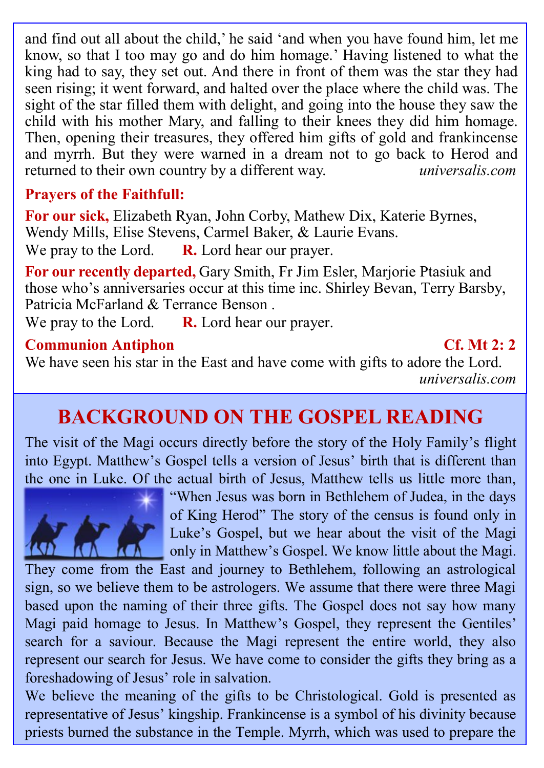and find out all about the child,' he said 'and when you have found him, let me know, so that I too may go and do him homage.' Having listened to what the king had to say, they set out. And there in front of them was the star they had seen rising; it went forward, and halted over the place where the child was. The sight of the star filled them with delight, and going into the house they saw the child with his mother Mary, and falling to their knees they did him homage. Then, opening their treasures, they offered him gifts of gold and frankincense and myrrh. But they were warned in a dream not to go back to Herod and returned to their own country by a different way. returned to their own country by a different way.

# **Prayers of the Faithfull:**

**For our sick,** Elizabeth Ryan, John Corby, Mathew Dix, Katerie Byrnes, Wendy Mills, Elise Stevens, Carmel Baker, & Laurie Evans. We pray to the Lord. **R.** Lord hear our prayer.

**For our recently departed,** Gary Smith, Fr Jim Esler, Marjorie Ptasiuk and those who's anniversaries occur at this time inc. Shirley Bevan, Terry Barsby, Patricia McFarland & Terrance Benson .

We pray to the Lord. **R.** Lord hear our prayer.

### **Communion Antiphon Cf. Mt 2: 2**

We have seen his star in the East and have come with gifts to adore the Lord. *universalis.com*

# **BACKGROUND ON THE GOSPEL READING**

The visit of the Magi occurs directly before the story of the Holy Family's flight into Egypt. Matthew's Gospel tells a version of Jesus' birth that is different than the one in Luke. Of the actual birth of Jesus, Matthew tells us little more than,



"When Jesus was born in Bethlehem of Judea, in the days of King Herod" The story of the census is found only in Luke's Gospel, but we hear about the visit of the Magi only in Matthew's Gospel. We know little about the Magi.

They come from the East and journey to Bethlehem, following an astrological sign, so we believe them to be astrologers. We assume that there were three Magi based upon the naming of their three gifts. The Gospel does not say how many Magi paid homage to Jesus. In Matthew's Gospel, they represent the Gentiles' search for a saviour. Because the Magi represent the entire world, they also represent our search for Jesus. We have come to consider the gifts they bring as a foreshadowing of Jesus' role in salvation.

We believe the meaning of the gifts to be Christological. Gold is presented as representative of Jesus' kingship. Frankincense is a symbol of his divinity because priests burned the substance in the Temple. Myrrh, which was used to prepare the